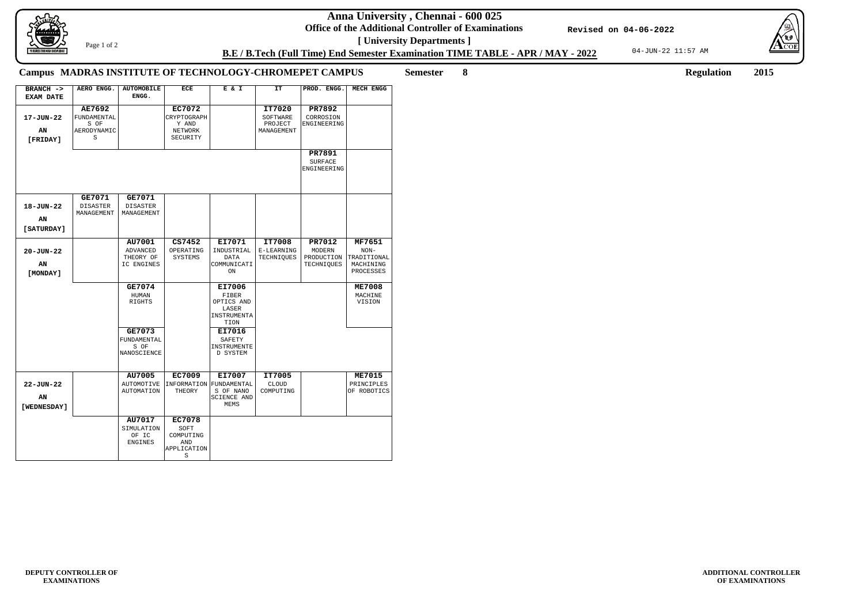**Anna University , Chennai - 600 025**

**Office of the Additional Controller of Examinations [ University Departments ]**

04-JUN-22 11:57 AM



**ADDITIONAL CONTROLLER OF EXAMINATIONS**

**B.E / B.Tech (Full Time) End Semester Examination TIME TABLE - APR / MAY - 2022**

**Revised on 04-06-2022**

Page 1 of 2

**Semester 8 Regulation 2015**

## **Campus MADRAS INSTITUTE OF TECHNOLOGY-CHROMEPET CAMPUS**

| BRANCH -><br><b>EXAM DATE</b>        | AERO ENGG.                                               | <b>AUTOMOBILE</b><br>ENGG.                           | <b>ECE</b>                                                          | E & I                                                                 | <b>IT</b>                                   | PROD. ENGG.                                         | <b>MECH ENGG</b>                                          |
|--------------------------------------|----------------------------------------------------------|------------------------------------------------------|---------------------------------------------------------------------|-----------------------------------------------------------------------|---------------------------------------------|-----------------------------------------------------|-----------------------------------------------------------|
| 17-JUN-22<br>AN<br>[FRIDAY]          | <b>AE7692</b><br>FUNDAMENTAL<br>S OF<br>AERODYNAMIC<br>S |                                                      | <b>EC7072</b><br>CRYPTOGRAPH<br>Y AND<br><b>NETWORK</b><br>SECURITY |                                                                       | IT7020<br>SOFTWARE<br>PROJECT<br>MANAGEMENT | PR7892<br>CORROSION<br>ENGINEERING                  |                                                           |
|                                      |                                                          |                                                      |                                                                     |                                                                       |                                             | PR7891<br><b>SURFACE</b><br>ENGINEERING             |                                                           |
| 18-JUN-22<br>ΑN<br>[SATURDAY]        | GE7071<br><b>DISASTER</b><br>MANAGEMENT                  | GE7071<br><b>DISASTER</b><br>MANAGEMENT              |                                                                     |                                                                       |                                             |                                                     |                                                           |
| $20 - JUN - 22$<br>AN<br>[MONDAY]    |                                                          | AU7001<br><b>ADVANCED</b><br>THEORY OF<br>IC ENGINES | CS7452<br>OPERATING<br><b>SYSTEMS</b>                               | EI7071<br>INDUSTRIAL<br><b>DATA</b><br>COMMUNICATI<br>ON              | IT7008<br>E-LEARNING<br>TECHNIQUES          | PR7012<br><b>MODERN</b><br>PRODUCTION<br>TECHNIQUES | MF7651<br>$NON-$<br>TRADITIONAL<br>MACHINING<br>PROCESSES |
|                                      |                                                          | GE7074<br>HUMAN<br>RIGHTS                            |                                                                     | EI7006<br>FIBER<br>OPTICS AND<br>LASER<br>INSTRUMENTA<br>TION         |                                             |                                                     | <b>ME7008</b><br>MACHINE<br>VISION                        |
|                                      |                                                          | GE7073<br>FUNDAMENTAL<br>S OF<br>NANOSCIENCE         |                                                                     | EI7016<br>SAFETY<br>INSTRUMENTE<br>D SYSTEM                           |                                             |                                                     |                                                           |
| $22 - JUN - 22$<br>AN<br>[WEDNESDAY] |                                                          | AU7005<br><b>AUTOMOTIVE</b><br>AUTOMATION            | EC7009<br>THEORY                                                    | EI7007<br>INFORMATION FUNDAMENTAL<br>S OF NANO<br>SCIENCE AND<br>MEMS | IT7005<br>CLOUD<br>COMPUTING                |                                                     | <b>ME7015</b><br>PRINCIPLES<br>OF ROBOTICS                |
|                                      |                                                          | AU7017<br>SIMULATION<br>OF IC<br><b>ENGINES</b>      | <b>EC7078</b><br>SOFT<br>COMPUTING<br>AND<br>APPLICATION<br>S       |                                                                       |                                             |                                                     |                                                           |